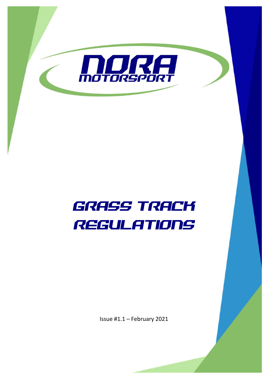

# **GRASS TRACK** REGULATIONS

Issue #1.1 – February 2021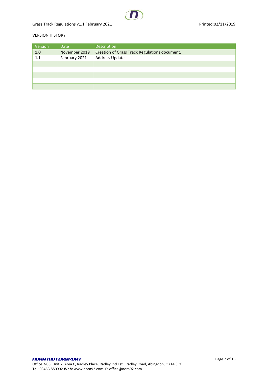Grass Track Regulations v1.1 February 2021 and the control of the Printed:02/11/2019

## VERSION HISTORY

| Version | Date          | Description                                   |
|---------|---------------|-----------------------------------------------|
| 1.0     | November 2019 | Creation of Grass Track Regulations document. |
| 1.1     | February 2021 | Address Update                                |
|         |               |                                               |
|         |               |                                               |
|         |               |                                               |
|         |               |                                               |
|         |               |                                               |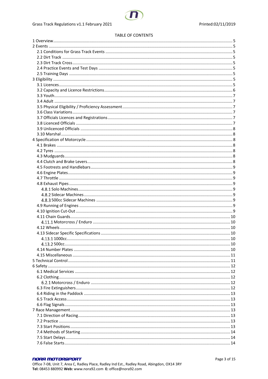

#### **TABLE OF CONTENTS**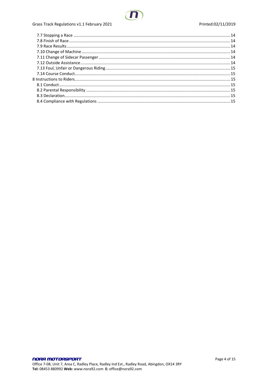

# Grass Track Regulations v1.1 February 2021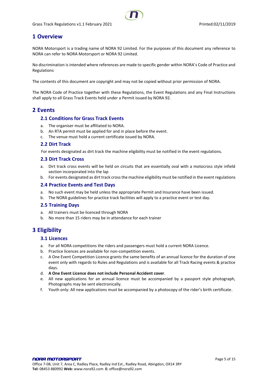# <span id="page-4-0"></span>**1 Overview**

NORA Motorsport is a trading name of NORA 92 Limited. For the purposes of this document any reference to NORA can refer to NORA Motorsport or NORA 92 Limited.

No discrimination is intended where references are made to specific gender within NORA's Code of Practice and Regulations

The contents of this document are copyright and may not be copied without prior permission of NORA.

The NORA Code of Practice together with these Regulations, the Event Regulations and any Final Instructions shall apply to all Grass Track Events held under a Permit issued by NORA 92.

# <span id="page-4-2"></span><span id="page-4-1"></span>**2 Events**

# **2.1 Conditions for Grass Track Events**

- a. The organiser must be affiliated to NORA.
- b. An RTA permit must be applied for and in place before the event.
- c. The venue must hold a current certificate issued by NORA.

## <span id="page-4-3"></span>**2.2 Dirt Track**

For events designated as dirt track the machine eligibility must be notified in the event regulations.

#### <span id="page-4-4"></span>**2.3 Dirt Track Cross**

- a. Dirt track cross events will be held on circuits that are essentially oval with a motocross style infield section incorporated into the lap
- b. For events designated as dirt track cross the machine eligibility must be notified in the event regulations

## <span id="page-4-5"></span>**2.4 Practice Events and Test Days**

- a. No such event may be held unless the appropriate Permit and Insurance have been issued.
- b. The NORA guidelines for practice track facilities will apply to a practice event or test day.

#### <span id="page-4-6"></span>**2.5 Training Days**

- a. All trainers must be licenced through NORA
- b. No more than 15 riders may be in attendance for each trainer

# <span id="page-4-8"></span><span id="page-4-7"></span>**3 Eligibility**

# **3.1 Licences**

- a. For all NORA competitions the riders and passengers must hold a current NORA Licence.
- b. Practice licences are available for non-competition events.
- c. A One Event Competition Licence grants the same benefits of an annual licence for the duration of one event only with regards to Rules and Regulations and is available for all Track Racing events & practice days.
- d. **A One Event Licence does not include Personal Accident cover**.
- e. All new applications for an annual licence must be accompanied by a passport style photograph, Photographs may be sent electronically.
- f. Youth only: All new applications must be accompanied by a photocopy of the rider's birth certificate.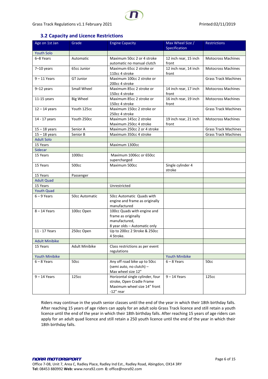# **3.2 Capacity and Licence Restrictions**

<span id="page-5-0"></span>

| Age on 1st Jan        | Grade                 | <b>Engine Capacity</b>                                                                                       | Max Wheel Size /<br>Specification | <b>Restrictions</b>         |
|-----------------------|-----------------------|--------------------------------------------------------------------------------------------------------------|-----------------------------------|-----------------------------|
| <b>Youth Solo</b>     |                       |                                                                                                              |                                   |                             |
| 6-8 Years             | Automatic             | Maximum 50cc 2 or 4 stroke<br>automatic no manual clutch                                                     | 12 inch rear, 15 inch<br>front    | <b>Motocross Machines</b>   |
| $7-10$ years          | 65cc Junior           | Maximum 65cc 2 stroke or<br>110cc 4 stroke                                                                   | 12 inch rear, 14 inch<br>front    | <b>Motocross Machines</b>   |
| $9 - 11$ Years        | <b>GT Junior</b>      | Maximum 100cc 2 stroke or<br>200cc 4 stroke                                                                  |                                   | <b>Grass Track Machines</b> |
| $9-12$ years          | Small Wheel           | Maximum 85cc 2 stroke or<br>150cc 4 stroke                                                                   | 14 inch rear, 17 inch<br>front    | <b>Motocross Machines</b>   |
| $11-15$ years         | <b>Big Wheel</b>      | Maximum 85cc 2 stroke or<br>150cc 4 stroke                                                                   | 16 inch rear, 19 inch<br>front    | <b>Motocross Machines</b>   |
| $12 - 14$ years       | Youth 125cc           | Maximum 150cc 2 stroke or<br>250cc 4 stroke                                                                  |                                   | <b>Grass Track Machines</b> |
| 14 - 17 years         | Youth 250cc           | Maximum 145cc 2 stroke<br>Maximum 250cc 4 stroke                                                             | 19 inch rear, 21 inch<br>front    | <b>Motocross Machines</b>   |
| $15 - 18$ years       | Senior A              | Maximum 250cc 2 or 4 stroke                                                                                  |                                   | <b>Grass Track Machines</b> |
| $15 - 18$ years       | Senior B              | Maximum 350cc 4 stroke                                                                                       |                                   | <b>Grass Track Machines</b> |
| <b>Adult Solo</b>     |                       |                                                                                                              |                                   |                             |
| 15 Years              |                       | Maximum 1300cc                                                                                               |                                   |                             |
| Sidecar               |                       |                                                                                                              |                                   |                             |
| 15 Years              | 1000cc                | Maximum 1006cc or 650cc<br>supercharged                                                                      |                                   |                             |
| 15 Years              | 500cc                 | Maximum 500cc                                                                                                | Single cylinder 4<br>stroke       |                             |
| 15 Years              | Passenger             |                                                                                                              |                                   |                             |
| <b>Adult Quad</b>     |                       |                                                                                                              |                                   |                             |
| 15 Years              |                       | Unrestricted                                                                                                 |                                   |                             |
| <b>Youth Quad</b>     |                       |                                                                                                              |                                   |                             |
| $6 - 9$ Years         | <b>50cc Automatic</b> | 50cc Automatic Quads with<br>engine and frame as originally<br>manufactured                                  |                                   |                             |
| $8 - 14$ Years        | 100cc Open            | 100cc Quads with engine and<br>frame as originally<br>manufactured,<br>8 year olds - Automatic only          |                                   |                             |
| 11 - 17 Years         | 250cc Open            | Up to 200cc 2 Stroke & 250cc<br>4 Stroke.                                                                    |                                   |                             |
| <b>Adult Minibike</b> |                       |                                                                                                              |                                   |                             |
| 15 Years              | Adult Minibike        | Class restrictions as per event<br>regulations                                                               |                                   |                             |
| <b>Youth Minibike</b> |                       |                                                                                                              | <b>Youth Minibike</b>             |                             |
| $6 - 8$ Years         | 50cc                  | Any off road bike up to 50cc<br>(semi auto, no clutch) -<br>Max wheel size 12"                               | $6 - 8$ Years                     | 50cc                        |
| $9 - 14$ Years        | 125cc                 | Horizontal single cylinder, four<br>stroke, Open Cradle Frame<br>Maximum wheel size 14" front<br>$-12"$ rear | $9 - 14$ Years                    | 125cc                       |

Riders may continue in the youth senior classes until the end of the year in which their 18th birthday falls. After reaching 15 years of age riders can apply for an adult solo Grass Track licence and still retain a youth licence until the end of the year in which their 18th birthday falls. After reaching 15 years of age riders can apply for an adult quad licence and still retain a 250 youth licence until the end of the year in which their 18th birthday falls.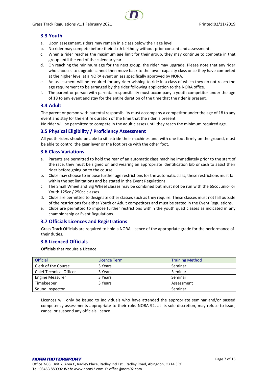# <span id="page-6-0"></span>**3.3 Youth**

- a. Upon assessment, riders may remain in a class below their age level.
- b. No rider may compete before their sixth birthday without prior consent and assessment.
- c. When a rider reaches the maximum age limit for their group, they may continue to compete in that group until the end of the calendar year.
- d. On reaching the minimum age for the next group, the rider may upgrade. Please note that any rider who chooses to upgrade cannot then move back to the lower capacity class once they have competed at the higher level at a NORA event unless specifically approved by NORA.
- e. An assessment will be required for any rider wishing to ride in a class of which they do not reach the age requirement to be arranged by the rider following application to the NORA office.
- f. The parent or person with parental responsibility must accompany a youth competitor under the age of 18 to any event and stay for the entire duration of the time that the rider is present.

# <span id="page-6-1"></span>**3.4 Adult**

The parent or person with parental responsibility must accompany a competitor under the age of 18 to any event and stay for the entire duration of the time that the rider is present.

No rider will be permitted to compete in the adult classes until they reach the minimum required age.

## <span id="page-6-2"></span>**3.5 Physical Eligibility / Proficiency Assessment**

All youth riders should be able to sit astride their machines and, with one foot firmly on the ground, must be able to control the gear lever or the foot brake with the other foot.

## <span id="page-6-3"></span>**3.6 Class Variations**

- a. Parents are permitted to hold the rear of an automatic class machine immediately prior to the start of the race, they must be signed on and wearing an appropriate identification bib or sash to assist their rider before going on to the course.
- b. Clubs may choose to impose further age restrictions for the automatic class, these restrictions must fall within the set limitations and be stated in the Event Regulations.
- c. The Small Wheel and Big Wheel classes may be combined but must not be run with the 65cc Junior or Youth 125cc / 250cc classes.
- d. Clubs are permitted to designate other classes such as they require. These classes must not fall outside of the restrictions for either Youth or Adult competitors and must be stated in the Event Regulations.
- e. Clubs are permitted to impose further restrictions within the youth quad classes as indicated in any championship or Event Regulations.

## <span id="page-6-4"></span>**3.7 Officials Licences and Registrations**

Grass Track Officials are required to hold a NORA Licence of the appropriate grade for the performance of their duties.

## <span id="page-6-5"></span>**3.8 Licenced Officials**

Officials that require a Licence.

| <b>Official</b>                | Licence Term | <b>Training Method</b> |
|--------------------------------|--------------|------------------------|
| Clerk of the Course            | 3 Years      | Seminar                |
| <b>Chief Technical Officer</b> | 3 Years      | Seminar                |
| <b>Engine Measurer</b>         | 3 Years      | Seminar                |
| Timekeeper                     | 3 Years      | Assessment             |
| Sound Inspector                |              | Seminar                |

Licences will only be issued to individuals who have attended the appropriate seminar and/or passed competency assessments appropriate to their role. NORA 92, at its sole discretion, may refuse to issue, cancel or suspend any officials licence.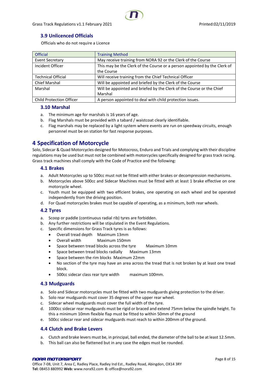# <span id="page-7-0"></span>**3.9 Unlicenced Officials**

Officials who do not require a Licence

| <b>Official</b>                 | <b>Training Method</b>                                                    |
|---------------------------------|---------------------------------------------------------------------------|
| <b>Event Secretary</b>          | May receive training from NORA 92 or the Clerk of the Course              |
| Incident Officer                | This may be the Clerk of the Course or a person appointed by the Clerk of |
|                                 | the Course                                                                |
| <b>Technical Official</b>       | Will receive training from the Chief Technical Officer                    |
| <b>Chief Marshal</b>            | Will be appointed and briefed by the Clerk of the Course                  |
| Marshal                         | Will be appointed and briefed by the Clerk of the Course or the Chief     |
|                                 | Marshal                                                                   |
| <b>Child Protection Officer</b> | A person appointed to deal with child protection issues.                  |

## <span id="page-7-1"></span>**3.10 Marshal**

- a. The minimum age for marshals is 16 years of age.
- b. Flag Marshals must be provided with a tabard / waistcoat clearly identifiable.
- c. Flag marshals may be replaced by a light system where events are run on speedway circuits, enough personnel must be on station for fast response purposes.

# <span id="page-7-2"></span>**4 Specification of Motorcycle**

Solo, Sidecar & Quad Motorcycles designed for Motocross, Enduro and Trials and complying with their discipline regulations may be used but must not be combined with motorcycles specifically designed for grass track racing. Grass track machines shall comply with the Code of Practice and the following:

# <span id="page-7-3"></span>**4.1 Brakes**

- a. Adult Motorcycles up to 500cc must not be fitted with either brakes or decompression mechanisms.
- b. Motorcycles above 500cc and Sidecar Machines must be fitted with at least 1 brake effective on one motorcycle wheel.
- c. Youth must be equipped with two efficient brakes, one operating on each wheel and be operated independently from the driving position.
- d. For Quad motorcycles brakes must be capable of operating, as a minimum, both rear wheels.

# <span id="page-7-4"></span>**4.2 Tyres**

- a. Scoop or paddle (continuous radial rib) tyres are forbidden.
- b. Any further restrictions will be stipulated in the Event Regulations.
- c. Specific dimensions for Grass Track tyres is as follows:
	- Overall tread depth Maximum 13mm
	- Overall width Maximum 150mm
	- Space between tread blocks across the tyre Maximum 10mm
	- Space between tread blocks radially Maximum 13mm
	- Space between the rim blocks Maximum 22mm
	- No section of the tyre may have an area across the tread that is not broken by at least one tread block.
	- 500cc sidecar class rear tyre width maximum 100mm.

## <span id="page-7-5"></span>**4.3 Mudguards**

- a. Solo and Sidecar motorcycles must be fitted with two mudguards giving protection to the driver.
- b. Solo rear mudguards must cover 35 degrees of the upper rear wheel.
- c. Sidecar wheel mudguards must cover the full width of the tyre.
- d. 1000cc sidecar rear mudguards must be rigid or braced and extend 75mm below the spindle height. To this a minimum 10mm flexible flap must be fitted to within 50mm of the ground
- e. 500cc sidecar rear and sidecar mudguards must reach to within 200mm of the ground.

# <span id="page-7-6"></span>**4.4 Clutch and Brake Levers**

- a. Clutch and brake levers must be, in principal, ball ended, the diameter of the ball to be at least 12.5mm.
- b. This ball can also be flattened but in any case the edges must be rounded.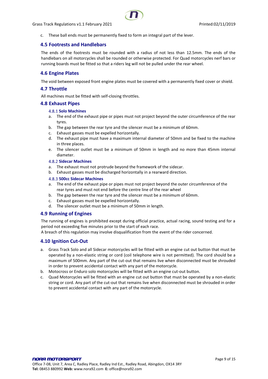

c. These ball ends must be permanently fixed to form an integral part of the lever.

## <span id="page-8-0"></span>**4.5 Footrests and Handlebars**

The ends of the footrests must be rounded with a radius of not less than 12.5mm. The ends of the handlebars on all motorcycles shall be rounded or otherwise protected. For Quad motorcycles nerf bars or running boards must be fitted so that a riders leg will not be pulled under the rear wheel.

# <span id="page-8-1"></span>**4.6 Engine Plates**

The void between exposed front engine plates must be covered with a permanently fixed cover or shield.

## <span id="page-8-2"></span>**4.7 Throttle**

All machines must be fitted with self-closing throttles.

## <span id="page-8-4"></span><span id="page-8-3"></span>**4.8 Exhaust Pipes**

#### **4.8.1 Solo Machines**

- a. The end of the exhaust pipe or pipes must not project beyond the outer circumference of the rear tyres.
- b. The gap between the rear tyre and the silencer must be a minimum of 60mm.
- c. Exhaust gasses must be expelled horizontally.
- d. The exhaust pipe must have a maximum internal diameter of 50mm and be fixed to the machine in three places.
- e. The silencer outlet must be a minimum of 50mm in length and no more than 45mm internal diameter.

#### <span id="page-8-5"></span>**Sidecar Machines**

- a. The exhaust must not protrude beyond the framework of the sidecar.
- b. Exhaust gasses must be discharged horizontally in a rearward direction.

#### <span id="page-8-6"></span>**500cc Sidecar Machines**

- a. The end of the exhaust pipe or pipes must not project beyond the outer circumference of the rear tyres and must not end before the centre line of the rear wheel
- b. The gap between the rear tyre and the silencer must be a minimum of 60mm.
- c. Exhaust gasses must be expelled horizontally.
- d. The silencer outlet must be a minimum of 50mm in length.

## <span id="page-8-7"></span>**4.9 Running of Engines**

The running of engines is prohibited except during official practice, actual racing, sound testing and for a period not exceeding five minutes prior to the start of each race.

A breach of this regulation may involve disqualification from the event of the rider concerned.

# <span id="page-8-8"></span>**4.10 Ignition Cut-Out**

- a. Grass Track Solo and all Sidecar motorcycles will be fitted with an engine cut out button that must be operated by a non-elastic string or cord (coil telephone wire is not permitted). The cord should be a maximum of 500mm. Any part of the cut-out that remains live when disconnected must be shrouded in order to prevent accidental contact with any part of the motorcycle.
- b. Motocross or Enduro solo motorcycles will be fitted with an engine cut-out button.
- c. Quad Motorcycles will be fitted with an engine cut out button that must be operated by a non-elastic string or cord. Any part of the cut-out that remains live when disconnected must be shrouded in order to prevent accidental contact with any part of the motorcycle.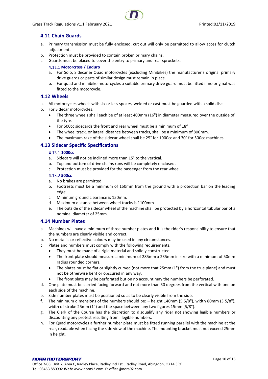

# <span id="page-9-0"></span>**4.11 Chain Guards**

- a. Primary transmission must be fully enclosed, cut out will only be permitted to allow acces for clutch adjustment.
- b. Protection must be provided to contain broken primary chains.
- <span id="page-9-1"></span>c. Guards must be placed to cover the entry to primary and rear sprockets.

## **Motorcross / Enduro**

- a. For Solo, Sidecar & Quad motorcycles (excluding Minibikes) the manufacturer's original primary drive guards or parts of similar design must remain in place.
- b. For quad and minibike motorcycles a suitable primary drive guard must be fitted if no original was fitted to the motorcycle.

# <span id="page-9-2"></span>**4.12 Wheels**

- a. All motorcycles wheels with six or less spokes, welded or cast must be guarded with a solid disc
- b. For Sidecar motorcycles:
	- The three wheels shall each be of at least 400mm (16") in diameter measured over the outside of the tyre.
	- For 500cc sidecards the front and rear wheel must be a minimum of 18"
	- The wheel track, or lateral distance between tracks, shall be a minimum of 800mm.
	- The maximum rake of the sidecar wheel shall be 25° for 1000cc and 30° for 500cc machines.

# <span id="page-9-4"></span><span id="page-9-3"></span>**4.13 Sidecar Specific Specifications**

# **1000cc**

- a. Sidecars will not be inclined more than 15° to the vertical.
- b. Top and bottom of drive chains runs will be completely enclosed.
- c. Protection must be provided for the passenger from the rear wheel.

## <span id="page-9-5"></span>**500cc**

- a. No brakes are permitted.
- b. Footrests must be a minimum of 150mm from the ground with a protection bar on the leading edge.
- c. Minimum ground clearance is 150mm.
- d. Maximum distance between wheel tracks is 1100mm
- e. The outside of the sidecar wheel of the machine shall be protected by a horizontal tubular bar of a nominal diameter of 25mm.

# <span id="page-9-6"></span>**4.14 Number Plates**

- a. Machines will have a minimum of three number plates and it is the rider's responsibility to ensure that the numbers are clearly visible and correct.
- b. No metallic or reflective colours may be used in any circumstances.
- c. Plates and numbers must comply with the following requirements.
	- They must be made of a rigid material and solidly constructed.
	- The front plate should measure a minimum of 285mm x 235mm in size with a minimum of 50mm radius rounded corners.
	- The plates must be flat or slightly curved (not more that 25mm (1") from the true plane) and must not be otherwise bent or obscured in any way.
	- The front plate may be perforated but on no account may the numbers be perforated.
- d. One plate must be carried facing forward and not more than 30 degrees from the vertical with one on each side of the machine.
- e. Side number plates must be positioned so as to be clearly visible from the side.
- f. The minimum dimensions of the numbers should be: height 140mm (5 5/8"), width 80mm (3 5/8"), width of stroke 25mm (1") and the space between any two figures 15mm (5/8").
- g. The Clerk of the Course has the discretion to disqualify any rider not showing legible numbers or discounting any protest resulting from illegible numbers.
- h. For Quad motorcycles a further number plate must be fitted running parallel with the machine at the rear, readable when facing the side view of the machine. The mounting bracket must not exceed 25mm in height.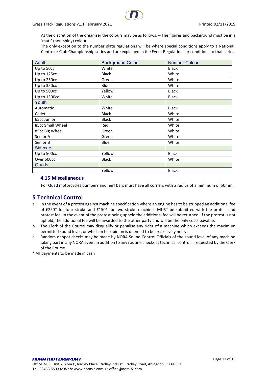At the discretion of the organiser the colours may be as follows: – The figures and background must be in a 'matt' (non-shiny) colour.

The only exception to the number plate regulations will be where special conditions apply to a National, Centre or Club Championship series and are explained in the Event Regulations or conditions to that series.

| Adult            | <b>Background Colour</b> | <b>Number Colour</b> |
|------------------|--------------------------|----------------------|
| Up to 50cc       | White                    | <b>Black</b>         |
| Up to 125cc      | <b>Black</b>             | White                |
| Up to 250cc      | Green                    | White                |
| Up to 350cc      | Blue                     | White                |
| Up to 500cc      | Yellow                   | <b>Black</b>         |
| Up to 1300cc     | White                    | <b>Black</b>         |
| Youth            |                          |                      |
| Automatic        | White                    | <b>Black</b>         |
| Cadet            | <b>Black</b>             | White                |
| 65cc Junior      | <b>Black</b>             | White                |
| 85cc Small Wheel | Red                      | White                |
| 85cc Big Wheel   | Green                    | White                |
| Senior A         | Green                    | White                |
| Senior B         | Blue                     | White                |
| <b>Sidecars</b>  |                          |                      |
| Up to 500cc      | Yellow                   | <b>Black</b>         |
| Over 500cc       | <b>Black</b>             | White                |
| Quads            |                          |                      |
|                  | Yellow                   | <b>Black</b>         |

## <span id="page-10-0"></span>**4.15 Miscellaneous**

For Quad motorcycles bumpers and nerf bars must have all corners with a radius of a minimum of 50mm.

# <span id="page-10-1"></span>**5 Technical Control**

- a. In the event of a protest against machine specification where an engine has to be stripped an additional fee of £250\* for four stroke and £150\* for two stroke machines MUST be submitted with the protest and protest fee. In the event of the protest being upheld the additional fee will be returned. If the protest is not upheld, the additional fee will be awarded to the other party and will be the only costs payable.
- b. The Clerk of the Course may disqualify or penalise any rider of a machine which exceeds the maximum permitted sound level, or which in his opinion is deemed to be excessively noisy.
- c. Random or spot checks may be made by NORA Sound Control Officials of the sound level of any machine taking part in any NORA event in addition to any routine checks at technical control if requested by the Clerk of the Course.
- \* All payments to be made in cash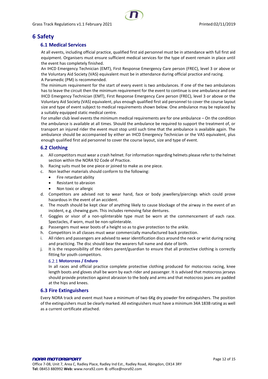# <span id="page-11-1"></span><span id="page-11-0"></span>**6 Safety**

# **6.1 Medical Services**

At all events, including official practice, qualified first aid personnel must be in attendance with full first aid equipment. Organisers must ensure sufficient medical services for the type of event remain in place until the event has completely finished.

An IHCD Emergency Technician (EMT), First Response Emergency Care person (FREC), level 3 or above or the Voluntary Aid Society (VAS) equivalent must be in attendance during official practice and racing. A Paramedic (PM) is recommended.

The minimum requirement for the start of every event is two ambulances. If one of the two ambulances has to leave the circuit then the minimum requirement for the event to continue is one ambulance and one IHCD Emergency Technician (EMT), First Response Emergency Care person (FREC), level 3 or above or the Voluntary Aid Society (VAS) equivalent, plus enough qualified first aid personnel to cover the course layout size and type of event subject to medical requirements shown below. One ambulance may be replaced by a suitably equipped static medical centre.

For smaller club level events the minimum medical requirements are for one ambulance – On the condition the ambulance is available at all times. Should the ambulance be required to support the treatment of, or transport an injured rider the event must stop until such time that the ambulance is available again. The ambulance should be accompanied by either an IHCD Emergency Technician or the VAS equivalent, plus enough qualified first aid personnel to cover the course layout, size and type of event.

# <span id="page-11-2"></span>**6.2 Clothing**

- a. All competitors must wear a crash helmet. For information regarding helmets please refer to the helmet section within the NORA 92 Code of Practice.
- b. Racing suits must be one piece or joined to make as one piece.
- c. Non leather materials should conform to the following:
	- Fire retardant ability
	- Resistant to abrasion
	- Non toxic or allergic
- d. Competitors are advised not to wear hand, face or body jewellery/piercings which could prove hazardous in the event of an accident.
- e. The mouth should be kept clear of anything likely to cause blockage of the airway in the event of an incident, e.g. chewing gum. This includes removing false dentures.
- f. Goggles or visor of a non-splinterable type must be worn at the commencement of each race. Spectacles, if worn, must be non-splinterable.
- g. Passengers must wear boots of a height so as to give protection to the ankle.
- h. Competitors in all classes must wear commercially manufactured back protection.
- i. All riders and passengers are advised to wear identification discs around the neck or wrist during racing and practicing. The disc should bear the wearers full name and date of birth.
- <span id="page-11-3"></span>j. It is the responsibility of the riders parent/guardian to ensure that all protective clothing is correctly fitting for youth competitors.

## **Motorcross / Enduro**

In all races and official practice complete protective clothing produced for motocross racing, knee length boots and gloves shall be worn by each rider and passenger. It is advised that motocross jerseys should provide protection against abrasion to the body and arms and that motocross jeans are padded at the hips and knees.

## <span id="page-11-4"></span>**6.3 Fire Extinguishers**

Every NORA track and event must have a minimum of two 6Kg dry powder fire extinguishers. The position of the extinguishers must be clearly marked. All extinguishers must have a minimum 34A 183B rating as well as a current certificate attached.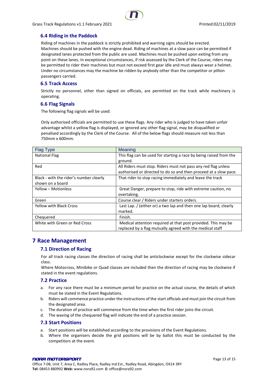# <span id="page-12-0"></span>**6.4 Riding in the Paddock**

Riding of machines in the paddock is strictly prohibited and warning signs should be erected. Machines should be pushed with the engine dead. Riding of machines at a slow pace can be permitted if designated lanes protected from the public are used. Machines must be pushed upon exiting from any point on these lanes. In exceptional circumstances, if risk assessed by the Clerk of the Course, riders may be permitted to rider their machines but must not exceed first gear idle and must always wear a helmet. Under no circumstances may the machine be ridden by anybody other than the competitor or pillion passengers carried.

# <span id="page-12-1"></span>**6.5 Track Access**

Strictly no personnel, other than signed on officials, are permitted on the track while machinery is operating.

# <span id="page-12-2"></span>**6.6 Flag Signals**

The following flag signals will be used:

Only authorised officials are permitted to use these flags. Any rider who is judged to have taken unfair advantage whilst a yellow flag is displayed, or ignored any other flag signal, may be disqualified or penalised accordingly by the Clerk of the Course. All of the below flags should measure not less than 750mm x 600mm.

| <b>Flag Type</b>                        | Meaning                                                            |
|-----------------------------------------|--------------------------------------------------------------------|
| <b>National Flag</b>                    | This flag can be used for starting a race by being raised from the |
|                                         | ground.                                                            |
| Red                                     | All Riders must stop. Riders must not pass any red flag unless     |
|                                         | authorised or directed to do so and then proceed at a slow pace.   |
| Black - with the rider's number clearly | That rider to stop racing immediately and leave the track          |
| shown on a board                        |                                                                    |
| Yellow - Motionless                     | Great Danger, prepare to stop, ride with extreme caution, no       |
|                                         | overtaking.                                                        |
| Green                                   | Course clear / Riders under starters orders.                       |
| <b>Yellow with Black Cross</b>          | Last Lap. / (either or) a two lap and then one lap board, clearly  |
|                                         | marked.                                                            |
| Chequered                               | Finish.                                                            |
| White with Green or Red Cross           | Medical attention required at that post provided. This may be      |
|                                         | replaced by a flag mutually agreed with the medical staff          |

# <span id="page-12-4"></span><span id="page-12-3"></span>**7 Race Management**

# **7.1 Direction of Racing**

For all track racing classes the direction of racing shall be anticlockwise except for the clockwise sidecar class.

Where Motocross, Minibike or Quad classes are included then the direction of racing may be clockwise if stated in the event regulations.

# <span id="page-12-5"></span>**7.2 Practice**

- a. For any race there must be a minimum period for practice on the actual course, the details of which must be stated in the Event Regulations.
- b. Riders will commence practice under the instructions of the start officials and must join the circuit from the designated area.
- c. The duration of practice will commence from the time when the first rider joins the circuit.
- d. The waving of the chequered flag will indicate the end of a practice session.

## <span id="page-12-6"></span>**7.3 Start Positions**

- a. Start positions will be established according to the provisions of the Event Regulations.
- b. Where the organisers decide the grid positions will be by ballot this must be conducted by the competitors at the event.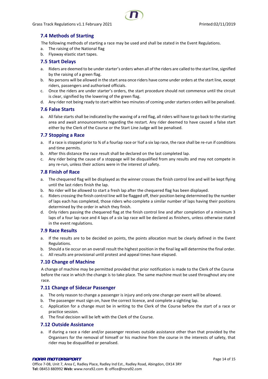# <span id="page-13-0"></span>**7.4 Methods of Starting**

The following methods of starting a race may be used and shall be stated in the Event Regulations.

- a. The raising of the National flag
- b. Flyaway elastic start tapes.

## <span id="page-13-1"></span>**7.5 Start Delays**

- a. Riders are deemed to be under starter's orders when all of the riders are called to the start line, signified by the raising of a green flag.
- b. No persons will be allowed in the start area once riders have come under orders at the start line, except riders, passengers and authorised officials.
- c. Once the riders are under starter's orders, the start procedure should not commence until the circuit is clear, signified by the lowering of the green flag.
- d. Any rider not being ready to start within two minutes of coming under starters orders will be penalised.

#### <span id="page-13-2"></span>**7.6 False Starts**

a. All false starts shall be indicated by the waving of a red flag, all riders will have to go back to the starting area and await announcements regarding the restart. Any rider deemed to have caused a false start either by the Clerk of the Course or the Start Line Judge will be penalised.

## <span id="page-13-3"></span>**7.7 Stopping a Race**

- a. If a race is stopped prior to ¾ of a fourlap race or ⅔of a six lap race, the race shall be re-run if conditions and time permits.
- b. After this distance the race result shall be declared on the last completed lap.
- c. Any rider being the cause of a stoppage will be disqualified from any results and may not compete in any re-run, unless their actions were in the interest of safety.

#### <span id="page-13-4"></span>**7.8 Finish of Race**

- a. The chequered flag will be displayed as the winner crosses the finish control line and will be kept flying until the last riders finish the lap.
- b. No rider will be allowed to start a fresh lap after the chequered flag has been displayed.
- c. Riders crossing the finish control line will be flagged off, their position being determined by the number of laps each has completed, those riders who complete a similar number of laps having their positions determined by the order in which they finish.
- d. Only riders passing the chequered flag at the finish control line and after completion of a minimum 3 laps of a four lap race and 4 laps of a six lap race will be declared as finishers, unless otherwise stated in the event regulations.

## <span id="page-13-5"></span>**7.9 Race Results**

- a. If the results are to be decided on points, the points allocation must be clearly defined in the Event Regulations.
- b. Should a tie occur on an overall result the highest position in the final leg will determine the final order.
- c. All results are provisional until protest and appeal times have elapsed.

## <span id="page-13-6"></span>**7.10 Change of Machine**

A change of machine may be permitted provided that prior notification is made to the Clerk of the Course before the race in which the change is to take place. The same machine must be used throughout any one race.

## <span id="page-13-7"></span>**7.11 Change of Sidecar Passenger**

- a. The only reason to change a passenger is injury and only one change per event will be allowed.
- b. The passenger must sign on, have the correct licence, and complete a sighting lap.
- c. Application for a change must be in writing to the Clerk of the Course before the start of a race or practice session.
- d. The final decision will be left with the Clerk of the Course.

## <span id="page-13-8"></span>**7.12 Outside Assistance**

a. If during a race a rider and/or passenger receives outside assistance other than that provided by the Organisers for the removal of himself or his machine from the course in the interests of safety, that rider may be disqualified or penalised.